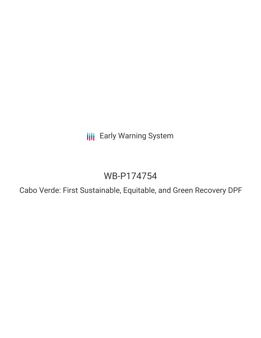**III** Early Warning System

# WB-P174754

Cabo Verde: First Sustainable, Equitable, and Green Recovery DPF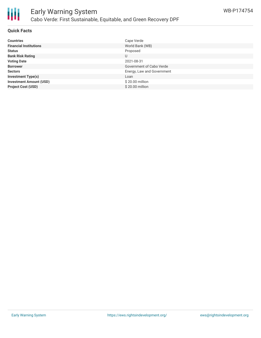

#### **Quick Facts**

| <b>Countries</b>               | Cape Verde                 |
|--------------------------------|----------------------------|
| <b>Financial Institutions</b>  | World Bank (WB)            |
| <b>Status</b>                  | Proposed                   |
| <b>Bank Risk Rating</b>        | U                          |
| <b>Voting Date</b>             | 2021-08-31                 |
| <b>Borrower</b>                | Government of Cabo Verde   |
| <b>Sectors</b>                 | Energy, Law and Government |
| <b>Investment Type(s)</b>      | Loan                       |
| <b>Investment Amount (USD)</b> | \$20.00 million            |
| <b>Project Cost (USD)</b>      | \$20.00 million            |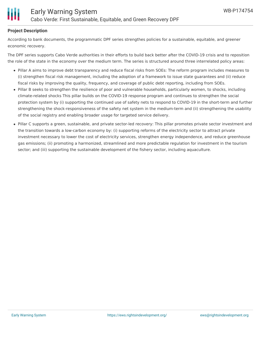### **Project Description**

According to bank documents, the programmatic DPF series strengthes policies for a sustainable, equitable, and greener economic recovery.

The DPF series supports Cabo Verde authorities in their efforts to build back better after the COVID-19 crisis and to reposition the role of the state in the economy over the medium term. The series is structured around three interrelated policy areas:

- Pillar A aims to improve debt transparency and reduce fiscal risks from SOEs: The reform program includes measures to (i) strengthen fiscal risk management, including the adoption of a framework to issue state guarantees and (ii) reduce fiscal risks by improving the quality, frequency, and coverage of public debt reporting, including from SOEs.
- Pillar B seeks to strengthen the resilience of poor and vulnerable households, particularly women, to shocks, including climate-related shocks This pillar builds on the COVID-19 response program and continues to strengthen the social protection system by (i) supporting the continued use of safety nets to respond to COVID-19 in the short-term and further strengthening the shock-responsiveness of the safety net system in the medium-term and (ii) strengthening the usability of the social registry and enabling broader usage for targeted service delivery.
- Pillar C supports a green, sustainable, and private sector-led recovery: This pillar promotes private sector investment and the transition towards a low-carbon economy by: (i) supporting reforms of the electricity sector to attract private investment necessary to lower the cost of electricity services, strengthen energy independence, and reduce greenhouse gas emissions; (ii) promoting a harmonized, streamlined and more predictable regulation for investment in the tourism sector; and (iii) supporting the sustainable development of the fishery sector, including aquaculture.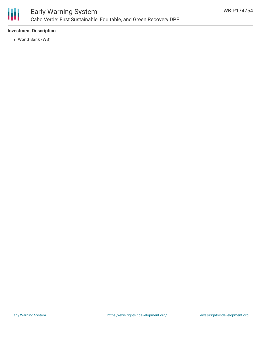

#### **Investment Description**

World Bank (WB)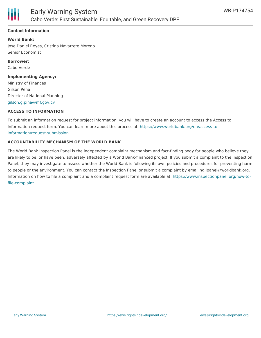

#### **Contact Information**

**World Bank:**

Jose Daniel Reyes, Cristina Navarrete Moreno Senior Economist

**Borrower:** Cabo Verde

**Implementing Agency:**

Ministry of Finances Gilson Pena Director of National Planning [gilson.g.pina@mf.gov.cv](mailto:gilson.g.pina@mf.gov.cv)

#### **ACCESS TO INFORMATION**

To submit an information request for project information, you will have to create an account to access the Access to Information request form. You can learn more about this process at: [https://www.worldbank.org/en/access-to](https://www.worldbank.org/en/access-to-information/request-submission)information/request-submission

#### **ACCOUNTABILITY MECHANISM OF THE WORLD BANK**

The World Bank Inspection Panel is the independent complaint mechanism and fact-finding body for people who believe they are likely to be, or have been, adversely affected by a World Bank-financed project. If you submit a complaint to the Inspection Panel, they may investigate to assess whether the World Bank is following its own policies and procedures for preventing harm to people or the environment. You can contact the Inspection Panel or submit a complaint by emailing ipanel@worldbank.org. Information on how to file a complaint and a complaint request form are available at: [https://www.inspectionpanel.org/how-to](https://www.inspectionpanel.org/how-to-file-complaint)file-complaint